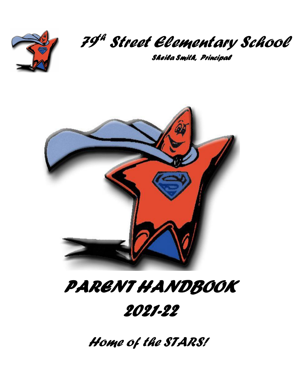

### *79 th Street Elementary School*

 *Sheila Smith, Principal*



# *PARENT HANDBOOK 2021-22*

*Home of the STARS!*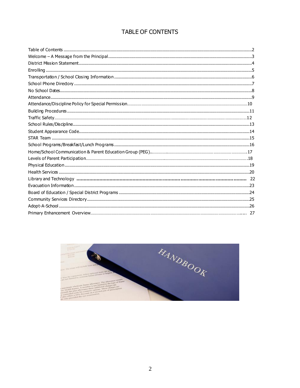#### TABLE OF CONTENTS

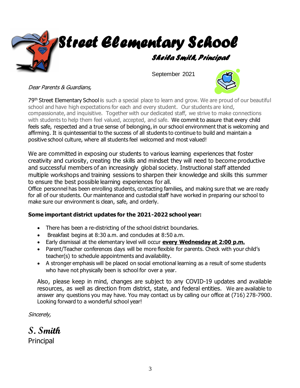

September 2021



Dear Parents & Guardians,

79<sup>th</sup> Street Elementary School is such a special place to learn and grow. We are proud of our beautiful school and have high expectations for each and every student. Our students are kind, compassionate, and inquisitive. Together with our dedicated staff, we strive to make connections with students to help them feel valued, accepted, and safe. We commit to assure that every child feels safe, respected and a true sense of belonging, in our school environment that is welcoming and affirming. It is quintessential to the success of all students to continue to build and maintain a positive school culture, where all students feel welcomed and most valued!

We are committed in exposing our students to various learning experiences that foster creativity and curiosity, creating the skills and mindset they will need to become productive and successful members of an increasingly global society. Instructional staff attended multiple workshops and training sessions to sharpen their knowledge and skills this summer to ensure the best possible learning experiences for all.

Office personnel has been enrolling students, contacting families, and making sure that we are ready for all of our students. Our maintenance and custodial staff have worked in preparing our school to make sure our environment is clean, safe, and orderly.

#### **Some important district updates for the 2021-2022 school year:**

- There has been a re-districting of the school district boundaries.
- Breakfast begins at 8:30 a.m. and concludes at 8:50 a.m.
- Early dismissal at the elementary level will occur **every Wednesday at 2:00 p.m.**
- Parent/Teacher conferences days will be more flexible for parents. Check with your child's teacher(s) to schedule appointments and availability.
- A stronger emphasis will be placed on social emotional learning as a result of some students who have not physically been is school for over a year.

Also, please keep in mind, changes are subject to any COVID-19 updates and available resources, as well as direction from district, state, and federal entities. We are available to answer any questions you may have. You may contact us by calling our office at (716) 278-7900. Looking forward to a wonderful school year!

Sincerely,

**S. Smith** Principal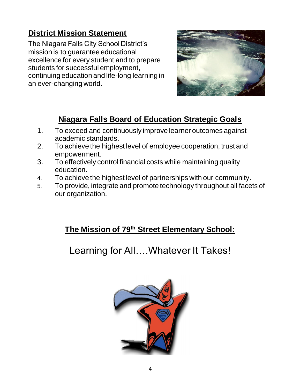# **District Mission Statement**

The Niagara Falls City School District's mission is to guarantee educational excellence for every student and to prepare students for successful employment, continuing education and life-long learning in an ever-changing world.



# **Niagara Falls Board of Education Strategic Goals**

- 1. To exceed and continuously improve learner outcomes against academic standards.
- 2. To achieve the highest level of employee cooperation, trust and empowerment.
- 3. To effectively control financial costs while maintaining quality education.
- 4. To achieve the highest level of partnerships with our community.
- 5. To provide, integrate and promote technology throughout all facets of our organization.

# **The Mission of 79th Street Elementary School:**

Learning for All….Whatever It Takes!

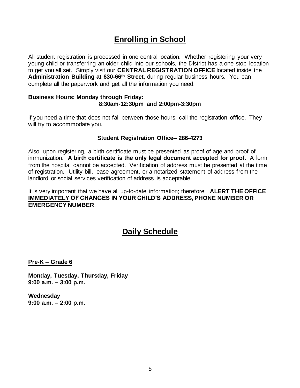# **Enrolling in School**

All student registration is processed in one central location. Whether registering your very young child or transferring an older child into our schools, the District has a one-stop location to get you all set. Simply visit our **CENTRAL REGISTRATION OFFICE** located inside the **Administration Building at 630-66th Street**, during regular business hours. You can complete all the paperwork and get all the information you need.

#### **Business Hours: Monday through Friday: 8:30am-12:30pm and 2:00pm-3:30pm**

If you need a time that does not fall between those hours, call the registration office. They will try to accommodate you.

#### **Student Registration Office– 286-4273**

Also, upon registering, a birth certificate must be presented as proof of age and proof of immunization. **A birth certificate is the only legal document accepted for proof**. A form from the hospital cannot be accepted. Verification of address must be presented at the time of registration. Utility bill, lease agreement, or a notarized statement of address from the landlord or social services verification of address is acceptable.

It is very important that we have all up-to-date information; therefore: **ALERT THE OFFICE IMMEDIATELY OF CHANGES IN YOUR CHILD'S ADDRESS, PHONE NUMBER OR EMERGENCY NUMBER**.

### **Daily Schedule**

**Pre-K – Grade 6**

**Monday, Tuesday, Thursday, Friday 9:00 a.m. – 3:00 p.m.**

**Wednesday 9:00 a.m. – 2:00 p.m.**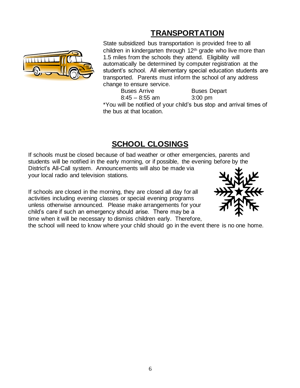# **TRANSPORTATION**



State subsidized bus transportation is provided free to all children in kindergarten through 12th grade who live more than 1.5 miles from the schools they attend. Eligibility will automatically be determined by computer registration at the student's school. All elementary special education students are transported. Parents must inform the school of any address change to ensure service.

Buses Arrive Buses Depart 8:45 – 8:55 am 3:00 pm

\*You will be notified of your child's bus stop and arrival times of the bus at that location.

# **SCHOOL CLOSINGS**

If schools must be closed because of bad weather or other emergencies, parents and students will be notified in the early morning, or if possible, the evening before by the District's All-Call system. Announcements will also be made via your local radio and television stations.

If schools are closed in the morning, they are closed all day for all activities including evening classes or special evening programs unless otherwise announced. Please make arrangements for your child's care if such an emergency should arise. There may be a time when it will be necessary to dismiss children early. Therefore,



the school will need to know where your child should go in the event there is no one home.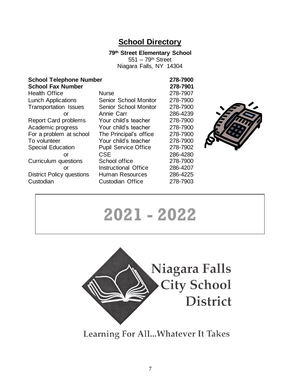### **School Directory**

**79th Street Elementary School**

551 – 79th Street Niagara Falls, NY 14304

| <b>School Telephone Number</b><br><b>School Fax Number</b> |                              | 278-7900<br>278-7901 |
|------------------------------------------------------------|------------------------------|----------------------|
| <b>Health Office</b>                                       | <b>Nurse</b>                 | 278-7907             |
| <b>Lunch Applications</b>                                  | <b>Senior School Monitor</b> | 278-7900             |
| <b>Transportation Issues</b>                               | Senior School Monitor        | 278-7900             |
| or                                                         | Annie Carr                   | 286-4239             |
| <b>Report Card problems</b>                                | Your child's teacher         | 278-7900             |
| Academic progress                                          | Your child's teacher         | 278-7900             |
| For a problem at school                                    | The Principal's office       | 278-7900             |
| To volunteer                                               | Your child's teacher         | 278-7900             |
| <b>Special Education</b>                                   | <b>Pupil Service Office</b>  | 278-7902             |
| or                                                         | <b>CSE</b>                   | 286-4280             |
| Curriculum questions                                       | School office                | 278-7900             |
| or                                                         | Instructional Office         | 286-4207             |
| <b>District Policy questions</b>                           | <b>Human Resources</b>       | 286-4225             |
| Custodian                                                  | <b>Custodian Office</b>      | 278-7903             |
|                                                            |                              |                      |



# **2021 - 2022**



Learning For All... Whatever It Takes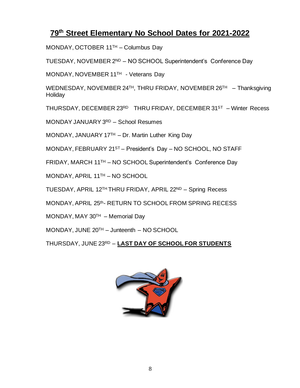### **79th Street Elementary No School Dates for 2021-2022**

MONDAY, OCTOBER 11TH – Columbus Day

TUESDAY, NOVEMBER 2<sup>ND</sup> – NO SCHOOL Superintendent's Conference Day

MONDAY, NOVEMBER 11<sup>TH</sup> - Veterans Day

WEDNESDAY, NOVEMBER 24TH, THRU FRIDAY, NOVEMBER 26TH – Thanksgiving **Holiday** 

THURSDAY, DECEMBER 23RD THRU FRIDAY, DECEMBER 31ST – Winter Recess

MONDAY JANUARY 3RD – School Resumes

MONDAY, JANUARY 17 $TH$  – Dr. Martin Luther King Day

MONDAY, FEBRUARY 21ST – President's Day – NO SCHOOL, NO STAFF

FRIDAY, MARCH 11TH – NO SCHOOL Superintendent's Conference Day

MONDAY, APRIL 11TH – NO SCHOOL

TUESDAY, APRIL 12TH THRU FRIDAY, APRIL 22ND – Spring Recess

MONDAY, APRIL 25th- RETURN TO SCHOOL FROM SPRING RECESS

MONDAY, MAY  $30<sup>TH</sup>$  – Memorial Day

MONDAY, JUNE 20TH – Junteenth – NO SCHOOL

THURSDAY, JUNE 23RD – **LAST DAY OF SCHOOL FOR STUDENTS**

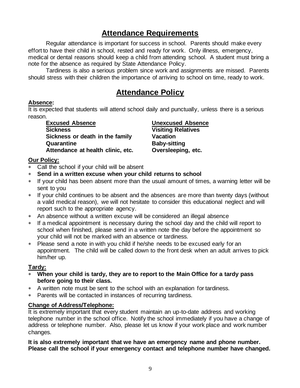# **Attendance Requirements**

Regular attendance is important for success in school. Parents should make every effort to have their child in school, rested and ready for work. Only illness, emergency, medical or dental reasons should keep a child from attending school. A student must bring a note for the absence as required by State Attendance Policy.

Tardiness is also a serious problem since work and assignments are missed. Parents should stress with their children the importance of arriving to school on time, ready to work.

### **Attendance Policy**

#### **Absence:**

It is expected that students will attend school daily and punctually, unless there is a serious reason.

**Excused Absence Unexcused Absence Sickness Visiting Relatives Sickness or death in the family Vacation Quarantine Baby-sitting Attendance at health clinic, etc. Oversleeping, etc.**

#### **Our Policy:**

- Call the school if your child will be absent
- **Send in a written excuse when your child returns to school**
- If your child has been absent more than the usual amount of times, a warning letter will be sent to you
- \* If your child continues to be absent and the absences are more than twenty days (without a valid medical reason), we will not hesitate to consider this educational neglect and will report such to the appropriate agency.
- An absence without a written excuse will be considered an illegal absence
- If a medical appointment is necessary during the school day and the child will report to school when finished, please send in a written note the day before the appointment so your child will not be marked with an absence or tardiness.
- Please send a note in with you child if he/she needs to be excused early for an appointment. The child will be called down to the front desk when an adult arrives to pick him/her up.

#### **Tardy:**

- **When your child is tardy, they are to report to the Main Office for a tardy pass before going to their class.**
- A written note must be sent to the school with an explanation for tardiness.
- Parents will be contacted in instances of recurring tardiness.

#### **Change of Address/Telephone:**

It is extremely important that every student maintain an up-to-date address and working telephone number in the school office. Notify the school immediately if you have a change of address or telephone number. Also, please let us know if your work place and work number changes.

**It is also extremely important that we have an emergency name and phone number. Please call the school if your emergency contact and telephone number have changed.**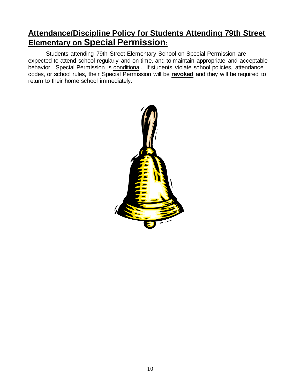# **Attendance/Discipline Policy for Students Attending 79th Street Elementary on Special Permission:**

Students attending 79th Street Elementary School on Special Permission are expected to attend school regularly and on time, and to maintain appropriate and acceptable behavior. Special Permission is conditional. If students violate school policies, attendance codes, or school rules, their Special Permission will be **revoked** and they will be required to return to their home school immediately.

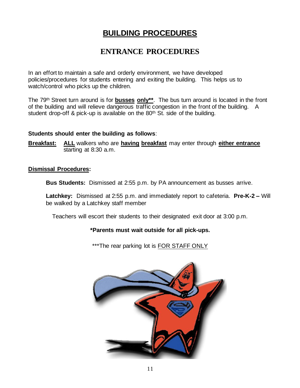# **BUILDING PROCEDURES**

### **ENTRANCE PROCEDURES**

In an effort to maintain a safe and orderly environment, we have developed policies/procedures for students entering and exiting the building. This helps us to watch/control who picks up the children.

The 79th Street turn around is for **busses only\*\***. The bus turn around is located in the front of the building and will relieve dangerous traffic congestion in the front of the building. A student drop-off & pick-up is available on the 80<sup>th</sup> St. side of the building.

#### **Students should enter the building as follows**:

**Breakfast: ALL** walkers who are **having breakfast** may enter through **either entrance**  starting at 8:30 a.m.

#### **Dismissal Procedures:**

**Bus Students:** Dismissed at 2:55 p.m. by PA announcement as busses arrive.

**Latchkey:** Dismissed at 2:55 p.m. and immediately report to cafeteria. **Pre-K-2 –** Will be walked by a Latchkey staff member

Teachers will escort their students to their designated exit door at 3:00 p.m.

#### **\*Parents must wait outside for all pick-ups.**

\*\*\*The rear parking lot is FOR STAFF ONLY

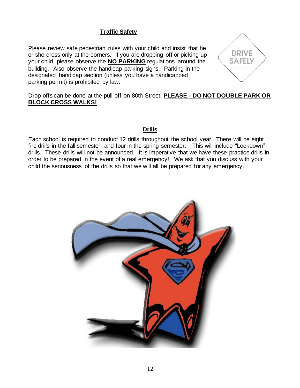#### **Traffic Safety**

Please review safe pedestrian rules with your child and insist that he or she cross only at the corners. If you are dropping off or picking up your child, please observe the **NO PARKING** regulations around the building. Also observe the handicap parking signs. Parking in the designated handicap section (unless you have a handicapped parking permit) is prohibited by law.



Drop offs can be done at the pull-off on 80th Street. **PLEASE - DO NOT DOUBLE PARK OR BLOCK CROSS WALKS!**

#### **Drills**

Each school is required to conduct 12 drills throughout the school year. There will be eight fire drills in the fall semester, and four in the spring semester. This will include "Lockdown" drills. These drills will not be announced. It is imperative that we have these practice drills in order to be prepared in the event of a real emergency! We ask that you discuss with your child the seriousness of the drills so that we will all be prepared for any emergency.

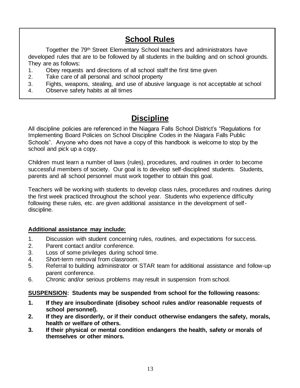# **School Rules**

Together the 79<sup>th</sup> Street Elementary School teachers and administrators have developed rules that are to be followed by all students in the building and on school grounds. They are as follows:

- 1. Obey requests and directions of all school staff the first time given
- 2. Take care of all personal and school property
- 3. Fights, weapons, stealing, and use of abusive language is not acceptable at school
- 4. Observe safety habits at all times

# **Discipline**

All discipline policies are referenced in the Niagara Falls School District's "Regulations for Implementing Board Policies on School Discipline Codes in the Niagara Falls Public Schools". Anyone who does not have a copy of this handbook is welcome to stop by the school and pick up a copy.

Children must learn a number of laws (rules), procedures, and routines in order to become successful members of society. Our goal is to develop self-disciplined students. Students, parents and all school personnel must work together to obtain this goal.

Teachers will be working with students to develop class rules, procedures and routines during the first week practiced throughout the school year. Students who experience difficulty following these rules, etc. are given additional assistance in the development of selfdiscipline.

#### **Additional assistance may include:**

- 1. Discussion with student concerning rules, routines, and expectations for success.
- 2. Parent contact and/or conference.
- 3. Loss of some privileges during school time.
- 4. Short-term removal from classroom.
- 5. Referral to building administrator or STAR team for additional assistance and follow-up parent conference.
- 6. Chronic and/or serious problems may result in suspension from school.

#### **SUSPENSION: Students may be suspended from school for the following reasons:**

- **1. If they are insubordinate (disobey school rules and/or reasonable requests of school personnel).**
- **2. If they are disorderly, or if their conduct otherwise endangers the safety, morals, health or welfare of others.**
- **3. If their physical or mental condition endangers the health, safety or morals of themselves or other minors.**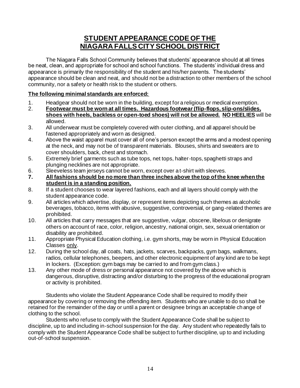### **STUDENT APPEARANCE CODE OF THE NIAGARA FALLS CITY SCHOOL DISTRICT**

The Niagara Falls School Community believes that students' appearance should at all times be neat, clean, and appropriate for school and school functions. The students' individual dress and appearance is primarily the responsibility of the student and his/her parents. The students' appearance should be clean and neat, and should not be a distraction to other members of the school community, nor a safety or health risk to the student or others.

#### **The following minimal standards are enforced:**

- 1. Headgear should not be worn in the building, except for a religious or medical exemption.
- 2. **Footwear must be worn at all times. Hazardous footwear (flip-flops, slip-ons/slides, shoes with heels, backless or open-toed shoes) will not be allowed. NO HEELIES** will be allowed.
- 3. All underwear must be completely covered with outer clothing, and all apparel should be fastened appropriately and worn as designed.
- 4. Above the waist apparel must cover all of one's person except the arms and a modest opening at the neck, and may not be of transparent materials. Blouses, shirts and sweaters are to cover shoulders, back, chest and stomach.
- 5. Extremely brief garments such as tube tops, net tops, halter-tops, spaghetti straps and plunging necklines are not appropriate.
- 6. Sleeveless team jerseys cannot be worn, except over a t-shirt with sleeves.
- **7. All fashions should be no more than three inches above the top of the knee when the student is in a standing position.**
- 8. If a student chooses to wear layered fashions, each and all layers should comply with the student appearance code.
- 9. All articles which advertise, display, or represent items depicting such themes as alcoholic beverages, tobacco, items with abusive, suggestive, controversial, or gang-related themes are prohibited.
- 10. All articles that carry messages that are suggestive, vulgar, obscene, libelous or denigrate others on account of race, color, religion, ancestry, national origin, sex, sexual orientation or disability are prohibited.
- 11. Appropriate Physical Education clothing, i.e. gym shorts, may be worn in Physical Education Classes only.
- 12. During the school day, all coats, hats, jackets, scarves, backpacks, gym bags, walkmans, radios, cellular telephones, beepers, and other electronic equipment of any kind are to be kept in lockers. (Exception: gym bags may be carried to and from gym class.)
- 13. Any other mode of dress or personal appearance not covered by the above which is dangerous, disruptive, distracting and/or disturbing to the progress of the educational program or activity is prohibited.

Students who violate the Student Appearance Code shall be required to modify their appearance by covering or removing the offending item. Students who are unable to do so shall be retained for the remainder of the day or until a parent or designee brings an acceptable ch ange of clothing to the school.

Students who refuse to comply with the Student Appearance Code shall be subject to discipline, up to and including in-school suspension for the day. Any student who repeatedly fails to comply with the Student Appearance Code shall be subject to further discipline, up to and including out-of-school suspension.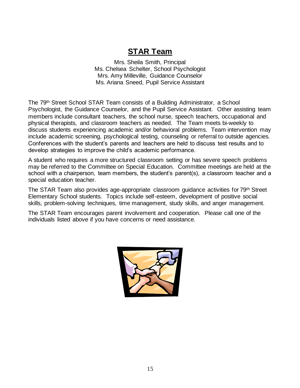### **STAR Team**

Mrs. Sheila Smith, Principal Ms. Chelsea Schelter, School Psychologist Mrs. Amy Milleville, Guidance Counselor Ms. Ariana Sneed, Pupil Service Assistant

The 79th Street School STAR Team consists of a Building Administrator, a School Psychologist, the Guidance Counselor, and the Pupil Service Assistant. Other assisting team members include consultant teachers, the school nurse, speech teachers, occupational and physical therapists, and classroom teachers as needed. The Team meets bi-weekly to discuss students experiencing academic and/or behavioral problems. Team intervention may include academic screening, psychological testing, counseling or referral to outside agencies. Conferences with the student's parents and teachers are held to discuss test results and to develop strategies to improve the child's academic performance.

A student who requires a more structured classroom setting or has severe speech problems may be referred to the Committee on Special Education. Committee meetings are held at the school with a chairperson, team members, the student's parent(s), a classroom teacher and a special education teacher.

The STAR Team also provides age-appropriate classroom guidance activities for 79th Street Elementary School students. Topics include self-esteem, development of positive social skills, problem-solving techniques, time management, study skills, and anger management.

The STAR Team encourages parent involvement and cooperation. Please call one of the individuals listed above if you have concerns or need assistance.

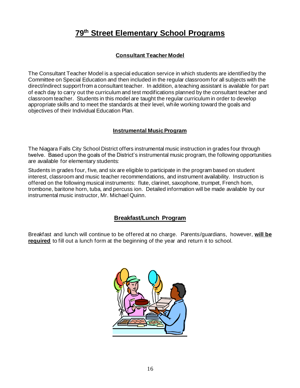# **79th Street Elementary School Programs**

#### **Consultant Teacher Model**

The Consultant Teacher Model is a special education service in which students are identified by the Committee on Special Education and then included in the regular classroom for all subjects with the direct/indirect support from a consultant teacher. In addition, a teaching assistant is available for part of each day to carry out the curriculum and test modifications planned by the consultant teacher and classroom teacher. Students in this model are taught the regular curriculum in order to develop appropriate skills and to meet the standards at their level, while working toward the goals and objectives of their Individual Education Plan.

#### **Instrumental Music Program**

The Niagara Falls City School District offers instrumental music instruction in grades four through twelve. Based upon the goals of the District's instrumental music program, the following opportunities are available for elementary students:

Students in grades four, five, and six are eligible to participate in the program based on student interest, classroom and music teacher recommendations, and instrument availability. Instruction is offered on the following musical instruments: flute, clarinet, saxophone, trumpet, French horn, trombone, baritone horn, tuba, and percuss ion. Detailed information will be made available by our instrumental music instructor, Mr. Michael Quinn.

#### **Breakfast/Lunch Program**

Breakfast and lunch will continue to be offered at no charge. Parents/guardians, however, **will be required** to fill out a lunch form at the beginning of the year and return it to school.

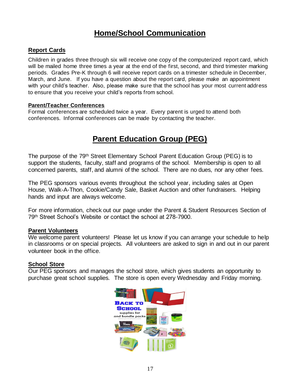# **Home/School Communication**

#### **Report Cards**

Children in grades three through six will receive one copy of the computerized report card, which will be mailed home three times a year at the end of the first, second, and third trimester marking periods. Grades Pre-K through 6 will receive report cards on a trimester schedule in December, March, and June. If you have a question about the report card, please make an appointment with your child's teacher. Also, please make sure that the school has your most current address to ensure that you receive your child's reports from school.

#### **Parent/Teacher Conferences**

Formal conferences are scheduled twice a year. Every parent is urged to attend both conferences. Informal conferences can be made by contacting the teacher.

# **Parent Education Group (PEG)**

The purpose of the 79<sup>th</sup> Street Elementary School Parent Education Group (PEG) is to support the students, faculty, staff and programs of the school. Membership is open to all concerned parents, staff, and alumni of the school. There are no dues, nor any other fees.

The PEG sponsors various events throughout the school year, including sales at Open House, Walk-A-Thon, Cookie/Candy Sale, Basket Auction and other fundraisers. Helping hands and input are always welcome.

For more information, check out our page under the Parent & Student Resources Section of 79th Street School's Website or contact the school at 278-7900.

#### **Parent Volunteers**

We welcome parent volunteers! Please let us know if you can arrange your schedule to help in classrooms or on special projects. All volunteers are asked to sign in and out in our parent volunteer book in the office.

#### **School Store**

Our PEG sponsors and manages the school store, which gives students an opportunity to purchase great school supplies. The store is open every Wednesday and Friday morning.

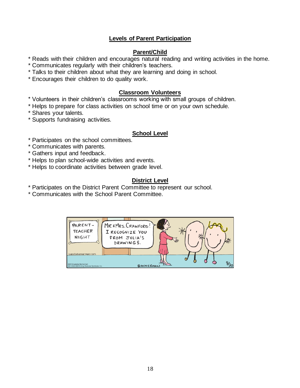#### **Levels of Parent Participation**

#### **Parent/Child**

\* Reads with their children and encourages natural reading and writing activities in the home.

- \* Communicates regularly with their children's teachers.
- \* Talks to their children about what they are learning and doing in school.
- \* Encourages their children to do quality work.

#### **Classroom Volunteers**

- \* Volunteers in their children's classrooms working with small groups of children.
- \* Helps to prepare for class activities on school time or on your own schedule.
- \* Shares your talents.
- \* Supports fundraising activities.

#### **School Level**

- \* Participates on the school committees.
- \* Communicates with parents.
- \* Gathers input and feedback.
- \* Helps to plan school-wide activities and events.
- \* Helps to coordinate activities between grade level.

#### **District Level**

- \* Participates on the District Parent Committee to represent our school.
- \* Communicates with the School Parent Committee.

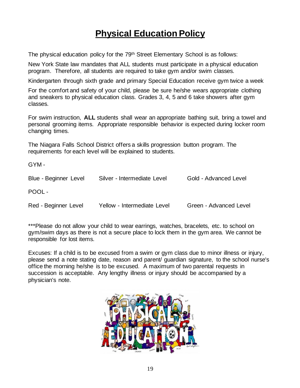# **Physical Education Policy**

The physical education policy for the 79<sup>th</sup> Street Elementary School is as follows:

New York State law mandates that ALL students must participate in a physical education program. Therefore, all students are required to take gym and/or swim classes.

Kindergarten through sixth grade and primary Special Education receive gym twice a week

For the comfort and safety of your child, please be sure he/she wears appropriate clothing and sneakers to physical education class. Grades 3, 4, 5 and 6 take showers after gym classes.

For swim instruction, **ALL** students shall wear an appropriate bathing suit, bring a towel and personal grooming items. Appropriate responsible behavior is expected during locker room changing times.

The Niagara Falls School District offers a skills progression button program. The requirements for each level will be explained to students.

GYM -

| Blue - Beginner Level | Silver - Intermediate Level | Gold - Advanced Level  |
|-----------------------|-----------------------------|------------------------|
| POOL -                |                             |                        |
| Red - Beginner Level  | Yellow - Intermediate Level | Green - Advanced Level |

\*\*\*Please do not allow your child to wear earrings, watches, bracelets, etc. to school on gym/swim days as there is not a secure place to lock them in the gym area. We cannot be responsible for lost items.

Excuses: If a child is to be excused from a swim or gym class due to minor illness or injury, please send a note stating date, reason and parent/ guardian signature, to the school nurse's office the morning he/she is to be excused. A maximum of two parental requests in succession is acceptable. Any lengthy illness or injury should be accompanied by a physician's note.

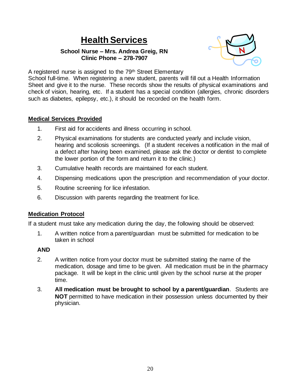# **Health Services**

#### **School Nurse – Mrs. Andrea Greig, RN Clinic Phone – 278-7907**



A registered nurse is assigned to the 79<sup>th</sup> Street Elementary

School full-time. When registering a new student, parents will fill out a Health Information Sheet and give it to the nurse. These records show the results of physical examinations and check of vision, hearing, etc. If a student has a special condition (allergies, chronic disorders such as diabetes, epilepsy, etc.), it should be recorded on the health form.

#### **Medical Services Provided**

- 1. First aid for accidents and illness occurring in school.
- 2. Physical examinations for students are conducted yearly and include vision, hearing and scoliosis screenings. (If a student receives a notification in the mail of a defect after having been examined, please ask the doctor or dentist to complete the lower portion of the form and return it to the clinic.)
- 3. Cumulative health records are maintained for each student.
- 4. Dispensing medications upon the prescription and recommendation of your doctor.
- 5. Routine screening for lice infestation.
- 6. Discussion with parents regarding the treatment for lice.

#### **Medication Protocol**

If a student must take any medication during the day, the following should be observed:

1. A written notice from a parent/guardian must be submitted for medication to be taken in school

#### **AND**

- 2. A written notice from your doctor must be submitted stating the name of the medication, dosage and time to be given. All medication must be in the pharmacy package. It will be kept in the clinic until given by the school nurse at the proper time.
- 3. **All medication must be brought to school by a parent/guardian**. Students are **NOT** permitted to have medication in their possession unless documented by their physician.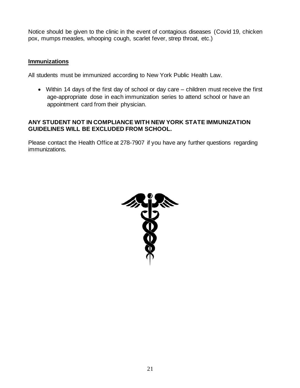Notice should be given to the clinic in the event of contagious diseases (Covid 19, chicken pox, mumps measles, whooping cough, scarlet fever, strep throat, etc.)

#### **Immunizations**

All students must be immunized according to New York Public Health Law.

• Within 14 days of the first day of school or day care – children must receive the first age-appropriate dose in each immunization series to attend school or have an appointment card from their physician.

#### **ANY STUDENT NOT IN COMPLIANCE WITH NEW YORK STATE IMMUNIZATION GUIDELINES WILL BE EXCLUDED FROM SCHOOL.**

Please contact the Health Office at 278-7907 if you have any further questions regarding immunizations.

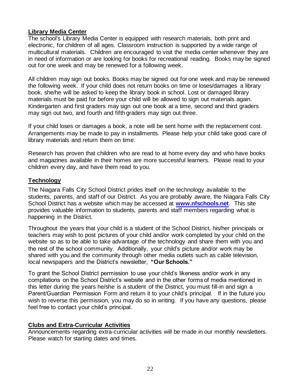#### **Library Media Center**

The school's Library Media Center is equipped with research materials, both print and electronic, for children of all ages. Classroom instruction is supported by a wide range of multicultural materials. Children are encouraged to visit the media center whenever they are in need of information or are looking for books for recreational reading. Books may be signed out for one week and may be renewed for a following week.

All children may sign out books. Books may be signed out for one week and may be renewed the following week. If your child does not return books on time or loses/damages a library book, she/he will be asked to keep the library book in school. Lost or damaged library materials must be paid for before your child will be allowed to sign out materials again. Kindergarten and first graders may sign out one book at a time, second and third graders may sign out two, and fourth and fifth graders may sign out three.

If your child loses or damages a book, a note will be sent home with the replacement cost. Arrangements may be made to pay in installments. Please help your child take good care of library materials and return them on time.

Research has proven that children who are read to at home every day and who have books and magazines available in their homes are more successful learners. Please read to your children every day, and have them read to you.

#### **Technology**

The Niagara Falls City School District prides itself on the technology available to the students, parents, and staff of our District. As you are probably aware, the Niagara Falls City School District has a website which may be accessed at **[www.nfschools.net](http://www.nfschools.net/)**. This site provides valuable information to students, parents and staff members regarding what is happening in the District.

Throughout the years that your child is a student of the School District, his/her principals or teachers may wish to post pictures of your child and/or work completed by your child on the website so as to be able to take advantage of the technology and share them with you and the rest of the school community. Additionally, your child's picture and/or work may be shared with you and the community through other media outlets such as cable television, local newspapers and the District's newsletter, **"Our Schools."**

To grant the School District permission to use your child's likeness and/or work in any compilations on the School District's website and in the other forms of media mentioned in this letter during the years he/she is a student of the District, you must fill-in and sign a Parent/Guardian Permission Form and return it to your child's principal. If in the future you wish to reverse this permission, you may do so in writing. If you have any questions, please feel free to contact your child's principal.

#### **Clubs and Extra-Curricular Activities**

Announcements regarding extra-curricular activities will be made in our monthly newsletters. Please watch for starting dates and times.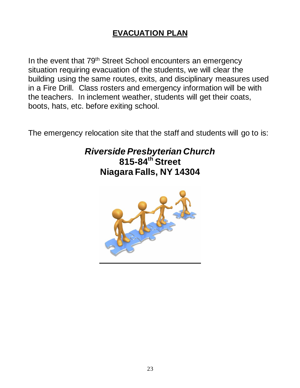# **EVACUATION PLAN**

In the event that 79<sup>th</sup> Street School encounters an emergency situation requiring evacuation of the students, we will clear the building using the same routes, exits, and disciplinary measures used in a Fire Drill. Class rosters and emergency information will be with the teachers. In inclement weather, students will get their coats, boots, hats, etc. before exiting school.

The emergency relocation site that the staff and students will go to is:

# *Riverside Presbyterian Church* **815-84th Street Niagara Falls, NY 14304**

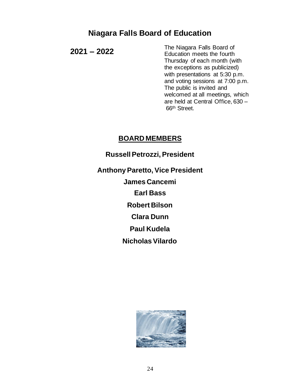# **Niagara Falls Board of Education**

**2021 – 2022**

The Niagara Falls Board of Education meets the fourth Thursday of each month (with the exceptions as publicized) with presentations at 5:30 p.m. and voting sessions at 7:00 p.m. The public is invited and welcomed at all meetings, which are held at Central Office, 630 – 66th Street.

### **BOARD MEMBERS**

**Russell Petrozzi, President**

**Anthony Paretto, Vice President James Cancemi Earl Bass Robert Bilson Clara Dunn Paul Kudela Nicholas Vilardo**

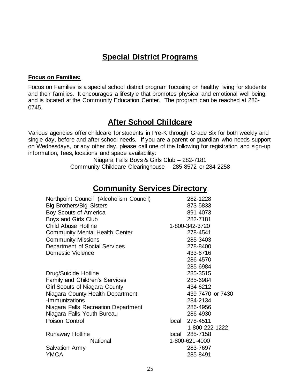# **Special District Programs**

#### **Focus on Families:**

Focus on Families is a special school district program focusing on healthy living for students and their families. It encourages a lifestyle that promotes physical and emotional well being, and is located at the Community Education Center. The program can be reached at 286- 0745.

### **After School Childcare**

Various agencies offer childcare for students in Pre-K through Grade Six for both weekly and single day, before and after school needs. If you are a parent or guardian who needs support on Wednesdays, or any other day, please call one of the following for registration and sign-up information, fees, locations and space availability:

> Niagara Falls Boys & Girls Club – 282-7181 Community Childcare Clearinghouse – 285-8572 or 284-2258

### **Community Services Directory**

| Northpoint Council (Alcoholism Council) |       | 282-1228         |
|-----------------------------------------|-------|------------------|
| <b>Big Brothers/Big Sisters</b>         |       | 873-5833         |
| <b>Boy Scouts of America</b>            |       | 891-4073         |
| Boys and Girls Club                     |       | 282-7181         |
| <b>Child Abuse Hotline</b>              |       | 1-800-342-3720   |
| <b>Community Mental Health Center</b>   |       | 278-4541         |
| <b>Community Missions</b>               |       | 285-3403         |
| Department of Social Services           |       | 278-8400         |
| Domestic Violence                       |       | 433-6716         |
|                                         |       | 286-4570         |
|                                         |       | 285-6984         |
| Drug/Suicide Hotline                    |       | 285-3515         |
| <b>Family and Children's Services</b>   |       | 285-6984         |
| <b>Girl Scouts of Niagara County</b>    |       | 434-6212         |
| Niagara County Health Department        |       | 439-7470 or 7430 |
| -Immunizations                          |       | 284-2134         |
| Niagara Falls Recreation Department     |       | 286-4956         |
| Niagara Falls Youth Bureau              |       | 286-4930         |
| Poison Control                          | local | 278-4511         |
|                                         |       | 1-800-222-1222   |
| <b>Runaway Hotline</b>                  |       | local 285-7158   |
| <b>National</b>                         |       | 1-800-621-4000   |
| <b>Salvation Army</b>                   |       | 283-7697         |
| <b>YMCA</b>                             |       | 285-8491         |
|                                         |       |                  |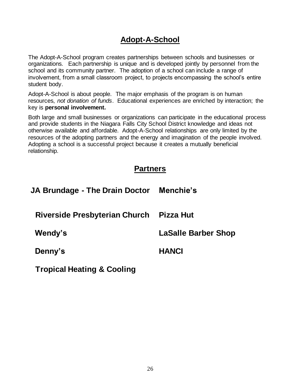# **Adopt-A-School**

The Adopt-A-School program creates partnerships between schools and businesses or organizations. Each partnership is unique and is developed jointly by personnel from the school and its community partner. The adoption of a school can include a range of involvement, from a small classroom project, to projects encompassing the school's entire student body.

Adopt-A-School is about people. The major emphasis of the program is on human resources, *not donation of funds*. Educational experiences are enriched by interaction; the key is **personal involvement.**

Both large and small businesses or organizations can participate in the educational process and provide students in the Niagara Falls City School District knowledge and ideas not otherwise available and affordable. Adopt-A-School relationships are only limited by the resources of the adopting partners and the energy and imagination of the people involved. Adopting a school is a successful project because it creates a mutually beneficial relationship.

### **Partners**

| JA Brundage - The Drain Doctor | Menchie's                  |
|--------------------------------|----------------------------|
| Riverside Presbyterian Church  | Pizza Hut                  |
| Wendy's                        | <b>LaSalle Barber Shop</b> |
| Denny's                        | <b>HANCI</b>               |

**Tropical Heating & Cooling**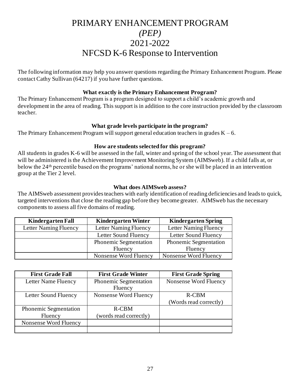# PRIMARY ENHANCEMENT PROGRAM *(PEP)* 2021-2022 NFCSD K-6 Response to Intervention

The following information may help you answer questions regarding the Primary Enhancement Program. Please contact Cathy Sullivan (64217) if you have further questions.

#### **What exactly is the Primary Enhancement Program?**

The Primary Enhancement Program is a program designed to support a child's academic growth and development in the area of reading. This support is in addition to the core instruction provided by the classroom teacher.

#### **What grade levels participate in the program?**

The Primary Enhancement Program will support general education teachers in grades  $K - 6$ .

#### **How are students selected for this program?**

All students in grades K-6 will be assessed in the fall, winter and spring of the school year. The assessment that will be administered is the Achievement Improvement Monitoring System (AIMSweb). If a child falls at, or below the 24th percentile based on the programs' national norms, he or she will be placed in an intervention group at the Tier 2 level.

#### **What does AIMSweb assess?**

The AIMSweb assessment provides teachers with early identification of reading deficiencies and leads to quick, targeted interventions that close the reading gap before they become greater. AIMSweb has the necessary components to assess all five domains of reading.

| <b>Kindergarten Fall</b> | <b>Kindergarten Winter</b> | <b>Kindergarten Spring</b> |
|--------------------------|----------------------------|----------------------------|
| Letter Naming Fluency    | Letter Naming Fluency      | Letter Naming Fluency      |
|                          | Letter Sound Fluency       | Letter Sound Fluency       |
|                          | Phonemic Segmentation      | Phonemic Segmentation      |
|                          | Fluency                    | Fluency                    |
|                          | Nonsense Word Fluency      | Nonsense Word Fluency      |

| <b>First Grade Fall</b>      | <b>First Grade Winter</b>               | <b>First Grade Spring</b> |
|------------------------------|-----------------------------------------|---------------------------|
| Letter Name Fluency          | <b>Phonemic Segmentation</b><br>Fluency | Nonsense Word Fluency     |
|                              |                                         |                           |
| Letter Sound Fluency         | Nonsense Word Fluency                   | R-CBM                     |
|                              |                                         | (Words read correctly)    |
| <b>Phonemic Segmentation</b> | R-CBM                                   |                           |
| Fluency                      | (words read correctly)                  |                           |
| Nonsense Word Fluency        |                                         |                           |
|                              |                                         |                           |